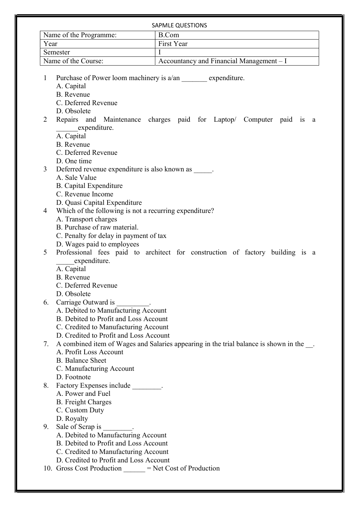|                     | Name of the Programme:                                   | <b>SAPMLE QUESTIONS</b><br>B.Com                                                          |
|---------------------|----------------------------------------------------------|-------------------------------------------------------------------------------------------|
| Year                |                                                          | First Year                                                                                |
| Semester            |                                                          | Ι                                                                                         |
| Name of the Course: |                                                          | Accountancy and Financial Management - I                                                  |
|                     |                                                          |                                                                                           |
| 1                   | Purchase of Power loom machinery is a/an expenditure.    |                                                                                           |
|                     | A. Capital                                               |                                                                                           |
|                     | <b>B.</b> Revenue                                        |                                                                                           |
|                     | C. Deferred Revenue                                      |                                                                                           |
|                     | D. Obsolete                                              |                                                                                           |
| 2                   |                                                          | Repairs and Maintenance charges paid for Laptop/ Computer paid is a                       |
|                     | expenditure.                                             |                                                                                           |
|                     | A. Capital                                               |                                                                                           |
|                     | <b>B.</b> Revenue                                        |                                                                                           |
|                     | C. Deferred Revenue                                      |                                                                                           |
|                     | D. One time                                              |                                                                                           |
| 3                   | Deferred revenue expenditure is also known as .          |                                                                                           |
|                     | A. Sale Value                                            |                                                                                           |
|                     | <b>B.</b> Capital Expenditure                            |                                                                                           |
|                     | C. Revenue Income                                        |                                                                                           |
|                     | D. Quasi Capital Expenditure                             |                                                                                           |
| 4                   | Which of the following is not a recurring expenditure?   |                                                                                           |
|                     | A. Transport charges                                     |                                                                                           |
|                     | B. Purchase of raw material.                             |                                                                                           |
|                     | C. Penalty for delay in payment of tax                   |                                                                                           |
|                     | D. Wages paid to employees                               |                                                                                           |
| 5                   |                                                          | Professional fees paid to architect for construction of factory building is a             |
|                     | expenditure.                                             |                                                                                           |
|                     | A. Capital                                               |                                                                                           |
|                     | <b>B.</b> Revenue                                        |                                                                                           |
|                     | C. Deferred Revenue                                      |                                                                                           |
|                     | D. Obsolete                                              |                                                                                           |
| 6.                  | Carriage Outward is __________.                          |                                                                                           |
|                     | A. Debited to Manufacturing Account                      |                                                                                           |
|                     | B. Debited to Profit and Loss Account                    |                                                                                           |
|                     | C. Credited to Manufacturing Account                     |                                                                                           |
|                     | D. Credited to Profit and Loss Account                   |                                                                                           |
| 7.                  |                                                          | A combined item of Wages and Salaries appearing in the trial balance is shown in the ___. |
|                     | A. Profit Loss Account                                   |                                                                                           |
|                     | <b>B.</b> Balance Sheet                                  |                                                                                           |
|                     | C. Manufacturing Account                                 |                                                                                           |
|                     | D. Footnote                                              |                                                                                           |
| 8.                  | Factory Expenses include ________.                       |                                                                                           |
|                     | A. Power and Fuel                                        |                                                                                           |
|                     | <b>B.</b> Freight Charges                                |                                                                                           |
|                     | C. Custom Duty                                           |                                                                                           |
|                     | D. Royalty                                               |                                                                                           |
| 9.                  | Sale of Scrap is                                         |                                                                                           |
|                     | A. Debited to Manufacturing Account                      |                                                                                           |
|                     | B. Debited to Profit and Loss Account                    |                                                                                           |
|                     | C. Credited to Manufacturing Account                     |                                                                                           |
|                     | D. Credited to Profit and Loss Account                   |                                                                                           |
|                     | 10. Gross Cost Production _____ = Net Cost of Production |                                                                                           |